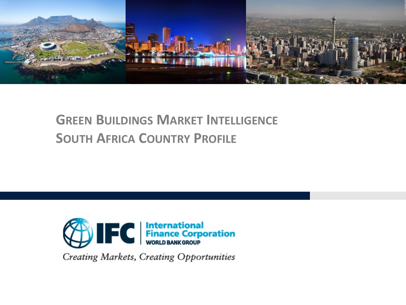

# **GREEN BUILDINGS MARKET INTELLIGENCE SOUTH AFRICA COUNTRY PROFILE**



Creating Markets, Creating Opportunities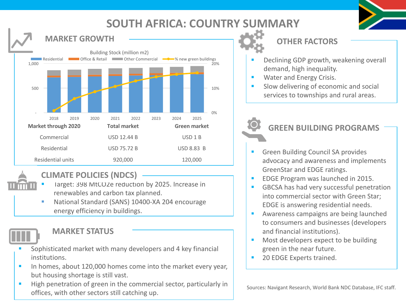### **SOUTH AFRICA: COUNTRY SUMMARY**





#### **CLIMATE POLICIES (NDCS)**

- Target: 398 MtCO2e reduction by 2025. Increase in renewables and carbon tax planned.
- National Standard (SANS) 10400-XA 204 encourage energy efficiency in buildings.



#### **MARKET STATUS**

- Sophisticated market with many developers and 4 key financial institutions.
- **•** In homes, about 120,000 homes come into the market every year, but housing shortage is still vast.
- **E** High penetration of green in the commercial sector, particularly in There is the transmitted of the commercial sector, particularly in Sources: Navigant Research, World Bank NDC Database, IFC staff.<br>
offices, with other sectors still catching up.

**OTHER FACTORS**

- Declining GDP growth, weakening overall demand, high inequality.
- Water and Energy Crisis.
- Slow delivering of economic and social services to townships and rural areas.

### **GREEN BUILDING PROGRAMS**

- § Green Building Council SA provides advocacy and awareness and implements GreenStar and EDGE ratings.
- EDGE Program was launched in 2015.
- GBCSA has had very successful penetration into commercial sector with Green Star: EDGE is answering residential needs.
- Awareness campaigns are being launched to consumers and businesses (developers and financial institutions).
- Most developers expect to be building green in the near future.
- 20 EDGE Experts trained.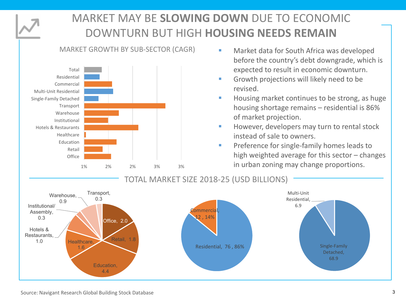

# **MARKET MAY BE SLOWING DOWN DUE TO ECONOMIC** DOWNTURN BUT HIGH **HOUSING NEEDS REMAIN**

#### MARKET GROWTH BY SUB-SECTOR (CAGR)



- Market data for South Africa was developed before the country's debt downgrade, which is expected to result in economic downturn.
- Growth projections will likely need to be revised.
- Housing market continues to be strong, as huge housing shortage remains  $-$  residential is 86% of market projection.
- However, developers may turn to rental stock instead of sale to owners.
- **Preference for single-family homes leads to** high weighted average for this sector  $-$  changes  $\frac{1\%}{1\%}$   $\frac{2\%}{1\%}$   $\frac{2\%}{1\%}$   $\frac{3\%}{1\%}$   $\frac{3\%}{1\%}$   $\frac{3\%}{1\%}$   $\frac{3\%}{1\%}$   $\frac{3\%}{1\%}$   $\frac{3\%}{1\%}$   $\frac{3\%}{1\%}$   $\frac{3\%}{1\%}$   $\frac{3\%}{1\%}$   $\frac{3\%}{1\%}$   $\frac{3\%}{1\%}$   $\frac{3\%}{1\%}$   $\frac{3\%}{1\%$

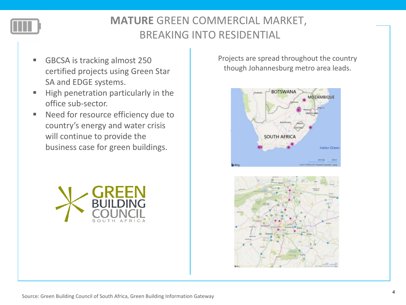

# **MATURE** GREEN COMMERCIAL MARKET, BREAKING INTO RESIDENTIAL

- GBCSA is tracking almost 250 certified projects using Green Star SA and EDGE systems.
- High penetration particularly in the office sub-sector.
- Need for resource efficiency due to country's energy and water crisis will continue to provide the business case for green buildings.



Projects are spread throughout the country though Johannesburg metro area leads.



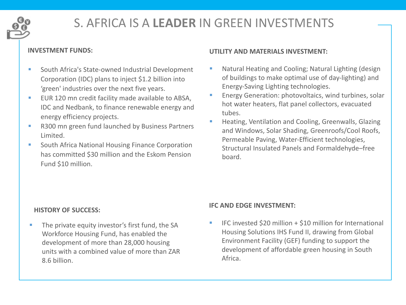

# S. AFRICA IS A **LEADER** IN GREEN INVESTMENTS

- South Africa's State-owned Industrial Development Corporation (IDC) plans to inject \$1.2 billion into 'green' industries over the next five years.
- EUR 120 mn credit facility made available to ABSA, IDC and Nedbank, to finance renewable energy and energy efficiency projects.
- R300 mn green fund launched by Business Partners Limited.
- South Africa National Housing Finance Corporation has committed \$30 million and the Eskom Pension Fund \$10 million.

#### **INVESTMENT FUNDS: UTILITY AND MATERIALS INVESTMENT:**

- Natural Heating and Cooling; Natural Lighting (design) of buildings to make optimal use of day-lighting) and Energy-Saving Lighting technologies.
- Energy Generation: photovoltaics, wind turbines, solar hot water heaters, flat panel collectors, evacuated tubes.
- Heating, Ventilation and Cooling, Greenwalls, Glazing and Windows, Solar Shading, Greenroofs/Cool Roofs, Permeable Paving, Water-Efficient technologies, Structural Insulated Panels and Formaldehyde–free board.

#### **HISTORY OF SUCCESS:**

**•** The private equity investor's first fund, the SA Workforce Housing Fund, has enabled the development of more than 28,000 housing units with a combined value of more than  $7AR$ 8.6 billion. 

#### **IFC AND EDGE INVESTMENT:**

IFC invested  $$20$  million  $+ $10$  million for International Housing Solutions IHS Fund II, drawing from Global Environment Facility (GEF) funding to support the development of affordable green housing in South Africa.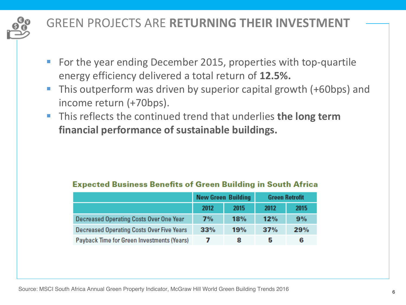

# **GREEN PROJECTS ARE RETURNING THEIR INVESTMENT**

- For the year ending December 2015, properties with top-quartile energy efficiency delivered a total return of **12.5%.**
- This outperform was driven by superior capital growth (+60bps) and income return (+70bps).
- This reflects the continued trend that underlies **the long term** financial performance of sustainable buildings.

|                                            | <b>New Green Building</b> |      | <b>Green Retrofit</b> |      |
|--------------------------------------------|---------------------------|------|-----------------------|------|
|                                            | 2012                      | 2015 | 2012                  | 2015 |
| Decreased Operating Costs Over One Year    | 7%                        | 18%  | 12%                   | 9%   |
| Decreased Operating Costs Over Five Years  | 33%                       | 19%  | 37%                   | 29%  |
| Payback Time for Green Investments (Years) |                           |      |                       | 6    |

#### **Expected Business Benefits of Green Building in South Africa**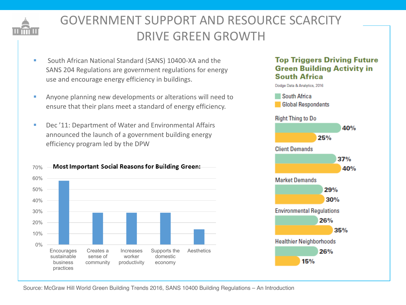

# GOVERNMENT SUPPORT AND RESOURCE SCARCITY DRIVE GREEN GROWTH

- South African National Standard (SANS) 10400-XA and the SANS 204 Regulations are government regulations for energy use and encourage energy efficiency in buildings.
- **EXECT:** Anyone planning new developments or alterations will need to ensure that their plans meet a standard of energy efficiency.
- Dec '11: Department of Water and Environmental Affairs announced the launch of a government building energy efficiency program led by the DPW





#### **Top Triggers Driving Future Green Building Activity in South Africa**



Source: McGraw Hill World Green Building Trends 2016, SANS 10400 Building Regulations – An Introduction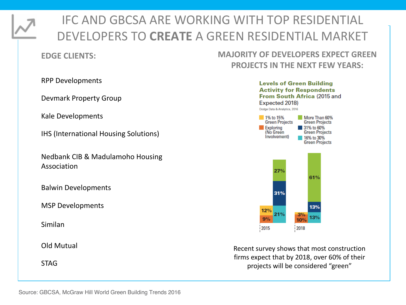

# IFC AND GBCSA ARE WORKING WITH TOP RESIDENTIAL DEVELOPERS TO **CREATE** A GREEN RESIDENTIAL MARKET

#### **EDGE CLIENTS:**

### **MAJORITY OF DEVELOPERS EXPECT GREEN PROJECTS IN THE NEXT FEW YEARS:**

RPP Developments

Devmark Property Group

Kale Developments

IHS (International Housing Solutions)

Nedbank CIB & Madulamoho Housing Association

Balwin Developments

**MSP** Developments

Similan 

**Old Mutual** 

STAG



Recent survey shows that most construction firms expect that by 2018, over 60% of their projects will be considered "green"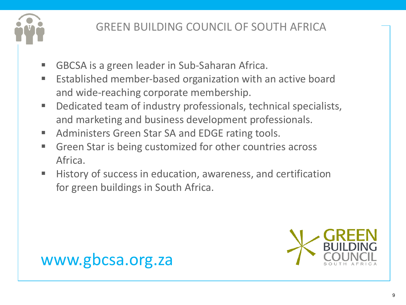

# GREEN BUILDING COUNCIL OF SOUTH AFRICA

- § GBCSA is a green leader in Sub-Saharan Africa.
- Established member-based organization with an active board and wide-reaching corporate membership.
- Dedicated team of industry professionals, technical specialists, and marketing and business development professionals.
- Administers Green Star SA and EDGE rating tools.
- Green Star is being customized for other countries across Africa.
- History of success in education, awareness, and certification for green buildings in South Africa.



# www.gbcsa.org.za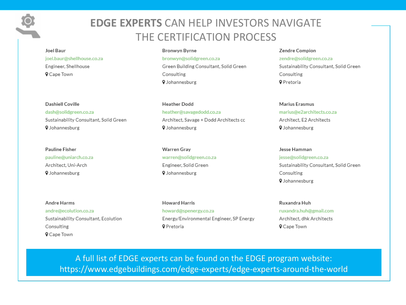### **EDGE EXPERTS CAN HELP INVESTORS NAVIGATE** THE CERTIFICATION PROCESS

#### Joel Baur joel.baur@shellhouse.co.za Engineer, Shellhouse **Q** Cape Town

#### Dashiell Coville

dash@solidgreen.co.za Sustainability Consultant, Solid Green **9** Johannesburg

#### Pauline Fisher pauline@uniarch.co.za Architect. Uni-Arch 9 Johannesburg

#### Andre Harms andre@ecolution.co.za Sustainability Consultant, Ecolution Consulting **Q** Cape Town

#### **Bronwyn Byrne**

bronwyn@solidgreen.co.za Green Building Consultant, Solid Green Consulting **V** Johannesburg

**Heather Dodd** heather@savagedodd.co.za Architect, Savage + Dodd Architects cc **9** Johannesburg

**Warren Gray** warren@solidgreen.co.za Engineer, Solid Green **9** Johannesburg

**Howard Harris** howard@spenergy.co.za Energy/Environmental Engineer, SP Energy **9** Pretoria

#### Zendre Compion zendre@solidgreen.co.za Sustainability Consultant, Solid Green Consulting **Q** Pretoria

#### Marius Erasmus marius@e2architects.co.za Architect, F2 Architects **9** Johannesburg

#### Jesse Hamman jesse@solidgreen.co.za Sustainability Consultant, Solid Green Consulting **9** Johannesburg

Ruxandra Huh ruxandra.huh@gmail.com Architect, dhk Architects **Q** Cape Town

A full list of EDGE experts can be found on the EDGE program website: https://www.edgebuildings.com/edge-experts/edge-experts-around-the-world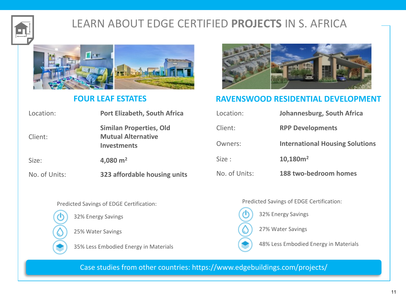

# LEARN ABOUT EDGE CERTIFIED PROJECTS IN S. AFRICA



#### **FOUR LEAF ESTATES**

| Location:     | Port Elizabeth, South Africa                                               |  |  |
|---------------|----------------------------------------------------------------------------|--|--|
| Client:       | <b>Similan Properties, Old</b><br><b>Mutual Alternative</b><br>Investments |  |  |
| Size:         | 4,080 $m2$                                                                 |  |  |
| No. of Units: | 323 affordable housing units                                               |  |  |



#### **RAVENSWOOD RESIDENTIAL DEVELOPMENT**

| Location:     | Johannesburg, South Africa             |
|---------------|----------------------------------------|
| Client:       | <b>RPP Developments</b>                |
| Owners:       | <b>International Housing Solutions</b> |
| Size:         | 10,180m <sup>2</sup>                   |
| No. of Units: | 188 two-bedroom homes                  |

Predicted Savings of EDGE Certification:



32% Energy Savings

25% Water Savings

35% Less Embodied Energy in Materials

Predicted Savings of EDGE Certification:

32% Energy Savings

27% Water Savings

48% Less Embodied Energy in Materials

Case studies from other countries: https://www.edgebuildings.com/projects/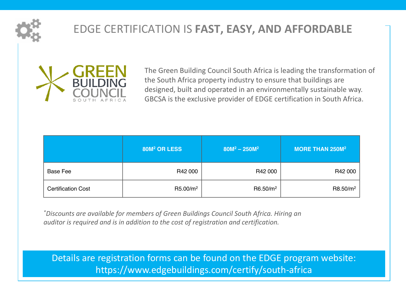

# **EDGE CERTIFICATION IS FAST, EASY, AND AFFORDABLE**



The Green Building Council South Africa is leading the transformation of the South Africa property industry to ensure that buildings are designed, built and operated in an environmentally sustainable way. GBCSA is the exclusive provider of EDGE certification in South Africa.

|                           | 80M <sup>2</sup> OR LESS | $80M^2 - 250M^2$     | MORE THAN 250M <sup>2</sup> |
|---------------------------|--------------------------|----------------------|-----------------------------|
| Base Fee                  | R42 000                  | R42 000              | R42 000                     |
| <b>Certification Cost</b> | R5.00/m <sup>2</sup>     | R6.50/m <sup>2</sup> | R8.50/m <sup>2</sup>        |

*\*Discounts are available for members of Green Buildings Council South Africa. Hiring an auditor is required and is in addition to the cost of registration and certification.* 

Details are registration forms can be found on the EDGE program website: https://www.edgebuildings.com/certify/south-africa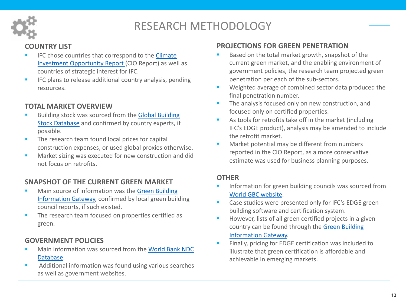

# RESEARCH METHODOLOGY

#### **COUNTRY LIST**

- IFC chose countries that correspond to the Climate Investment Opportunity Report (CIO Report) as well as countries of strategic interest for IFC.
- **EXEC** plans to release additional country analysis, pending resources.

#### **TOTAL MARKET OVERVIEW**

- Building stock was sourced from the Global Building Stock Database and confirmed by country experts, if possible.
- The research team found local prices for capital construction expenses, or used global proxies otherwise.
- Market sizing was executed for new construction and did not focus on retrofits.

#### **SNAPSHOT OF THE CURRENT GREEN MARKET**

- Main source of information was the Green Building Information Gateway, confirmed by local green building council reports, if such existed.
- The research team focused on properties certified as green.

#### **GOVERNMENT POLICIES**

- Main information was sourced from the World Bank NDC Database.
- Additional information was found using various searches as well as government websites.

#### **PROJECTIONS FOR GREEN PENETRATION**

- Based on the total market growth, snapshot of the current green market, and the enabling environment of government policies, the research team projected green penetration per each of the sub-sectors.
- Weighted average of combined sector data produced the final penetration number.
- **•** The analysis focused only on new construction, and focused only on certified properties.
- As tools for retrofits take off in the market (including IFC's EDGE product), analysis may be amended to include the retrofit market.
- Market potential may be different from numbers reported in the CIO Report, as a more conservative estimate was used for business planning purposes.

#### **OTHER**

- Information for green building councils was sourced from World GBC website.
- Case studies were presented only for IFC's EDGE green building software and certification system.
- **EXEDE:** However, lists of all green certified projects in a given country can be found through the Green Building Information Gateway.
- Finally, pricing for EDGE certification was included to illustrate that green certification is affordable and achievable in emerging markets.